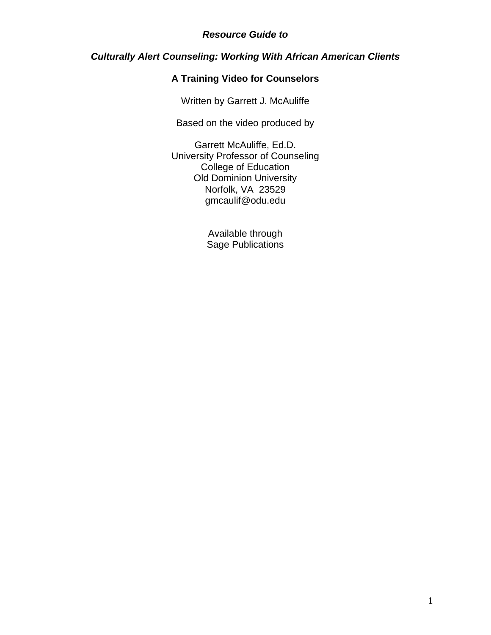#### *Culturally Alert Counseling: Working With African American Clients*

#### **A Training Video for Counselors**

Written by Garrett J. McAuliffe

Based on the video produced by

Garrett McAuliffe, Ed.D. University Professor of Counseling College of Education Old Dominion University Norfolk, VA 23529 gmcaulif@odu.edu

> Available through Sage Publications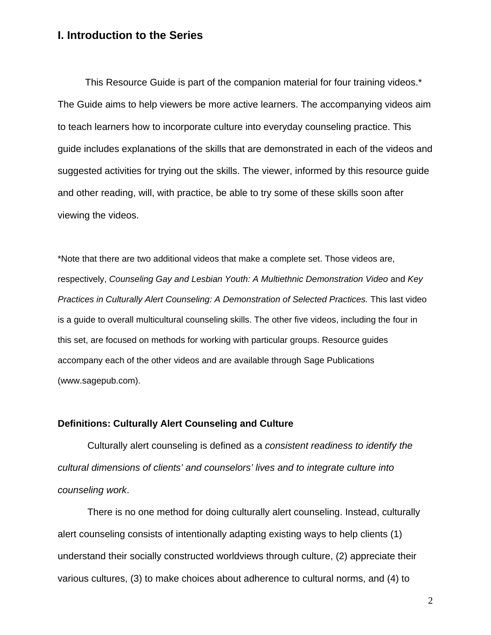#### **I. Introduction to the Series**

This Resource Guide is part of the companion material for four training videos.\* The Guide aims to help viewers be more active learners. The accompanying videos aim to teach learners how to incorporate culture into everyday counseling practice. This guide includes explanations of the skills that are demonstrated in each of the videos and suggested activities for trying out the skills. The viewer, informed by this resource guide and other reading, will, with practice, be able to try some of these skills soon after viewing the videos.

\*Note that there are two additional videos that make a complete set. Those videos are, respectively, *Counseling Gay and Lesbian Youth: A Multiethnic Demonstration Video* and *Key Practices in Culturally Alert Counseling: A Demonstration of Selected Practices.* This last video is a guide to overall multicultural counseling skills. The other five videos, including the four in this set, are focused on methods for working with particular groups. Resource guides accompany each of the other videos and are available through Sage Publications (www.sagepub.com).

#### **Definitions: Culturally Alert Counseling and Culture**

Culturally alert counseling is defined as a *consistent readiness to identify the cultural dimensions of clients' and counselors' lives and to integrate culture into counseling work*.

There is no one method for doing culturally alert counseling. Instead, culturally alert counseling consists of intentionally adapting existing ways to help clients (1) understand their socially constructed worldviews through culture, (2) appreciate their various cultures, (3) to make choices about adherence to cultural norms, and (4) to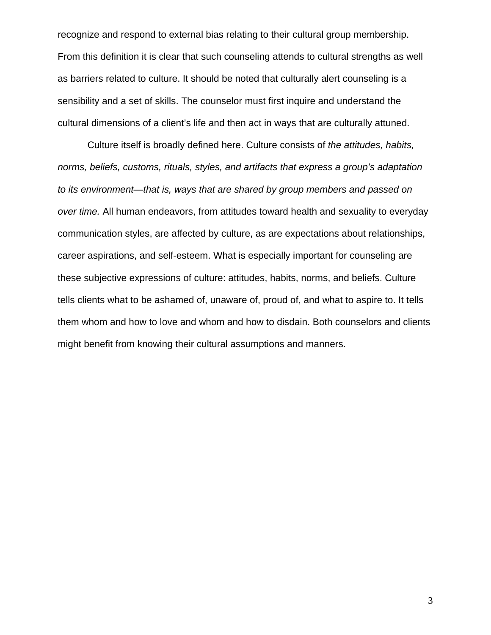recognize and respond to external bias relating to their cultural group membership. From this definition it is clear that such counseling attends to cultural strengths as well as barriers related to culture. It should be noted that culturally alert counseling is a sensibility and a set of skills. The counselor must first inquire and understand the cultural dimensions of a client's life and then act in ways that are culturally attuned.

Culture itself is broadly defined here. Culture consists of *the attitudes, habits, norms, beliefs, customs, rituals, styles, and artifacts that express a group's adaptation to its environment—that is, ways that are shared by group members and passed on over time.* All human endeavors, from attitudes toward health and sexuality to everyday communication styles, are affected by culture, as are expectations about relationships, career aspirations, and self-esteem. What is especially important for counseling are these subjective expressions of culture: attitudes, habits, norms, and beliefs. Culture tells clients what to be ashamed of, unaware of, proud of, and what to aspire to. It tells them whom and how to love and whom and how to disdain. Both counselors and clients might benefit from knowing their cultural assumptions and manners.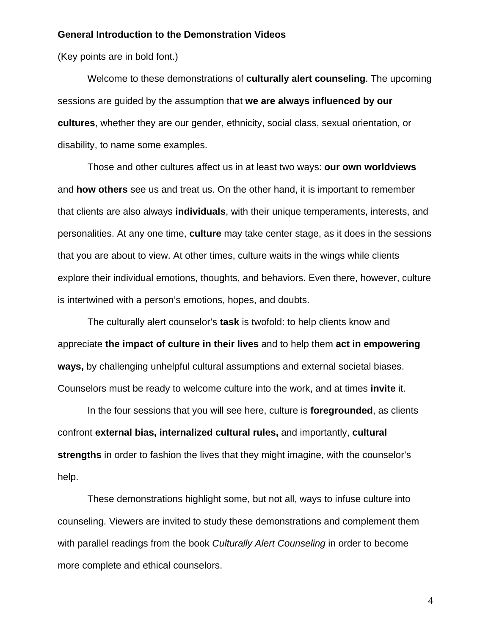#### **General Introduction to the Demonstration Videos**

(Key points are in bold font.)

Welcome to these demonstrations of **culturally alert counseling**. The upcoming sessions are guided by the assumption that **we are always influenced by our cultures**, whether they are our gender, ethnicity, social class, sexual orientation, or disability, to name some examples.

Those and other cultures affect us in at least two ways: **our own worldviews** and **how others** see us and treat us. On the other hand, it is important to remember that clients are also always **individuals**, with their unique temperaments, interests, and personalities. At any one time, **culture** may take center stage, as it does in the sessions that you are about to view. At other times, culture waits in the wings while clients explore their individual emotions, thoughts, and behaviors. Even there, however, culture is intertwined with a person's emotions, hopes, and doubts.

The culturally alert counselor's **task** is twofold: to help clients know and appreciate **the impact of culture in their lives** and to help them **act in empowering ways,** by challenging unhelpful cultural assumptions and external societal biases. Counselors must be ready to welcome culture into the work, and at times **invite** it.

In the four sessions that you will see here, culture is **foregrounded**, as clients confront **external bias, internalized cultural rules,** and importantly, **cultural strengths** in order to fashion the lives that they might imagine, with the counselor's help.

These demonstrations highlight some, but not all, ways to infuse culture into counseling. Viewers are invited to study these demonstrations and complement them with parallel readings from the book *Culturally Alert Counseling* in order to become more complete and ethical counselors.

4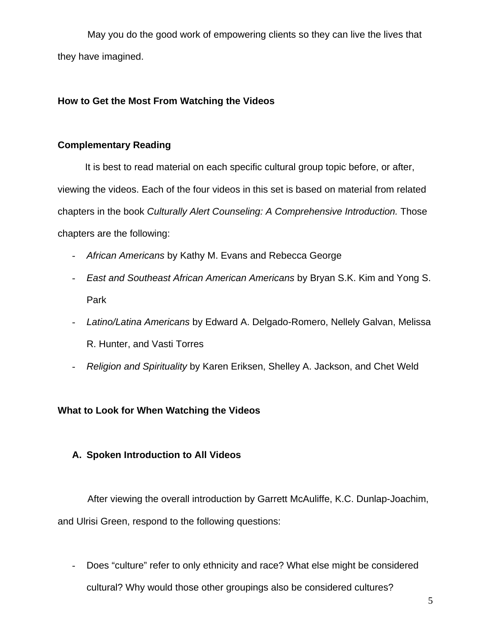May you do the good work of empowering clients so they can live the lives that they have imagined.

## **How to Get the Most From Watching the Videos**

#### **Complementary Reading**

It is best to read material on each specific cultural group topic before, or after, viewing the videos. Each of the four videos in this set is based on material from related chapters in the book *Culturally Alert Counseling: A Comprehensive Introduction.* Those chapters are the following:

- *African Americans* by Kathy M. Evans and Rebecca George
- *East and Southeast African American Americans* by Bryan S.K. Kim and Yong S. Park
- *Latino/Latina Americans* by Edward A. Delgado-Romero, Nellely Galvan, Melissa R. Hunter, and Vasti Torres
- *Religion and Spirituality* by Karen Eriksen, Shelley A. Jackson, and Chet Weld

## **What to Look for When Watching the Videos**

#### **A. Spoken Introduction to All Videos**

After viewing the overall introduction by Garrett McAuliffe, K.C. Dunlap-Joachim, and Ulrisi Green, respond to the following questions:

- Does "culture" refer to only ethnicity and race? What else might be considered cultural? Why would those other groupings also be considered cultures?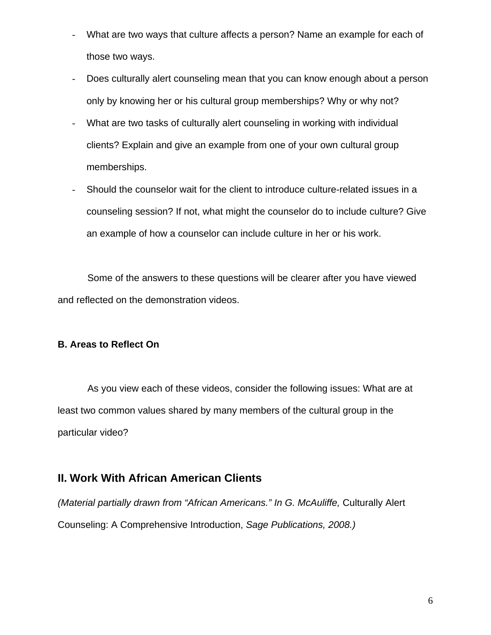- What are two ways that culture affects a person? Name an example for each of those two ways.
- Does culturally alert counseling mean that you can know enough about a person only by knowing her or his cultural group memberships? Why or why not?
- What are two tasks of culturally alert counseling in working with individual clients? Explain and give an example from one of your own cultural group memberships.
- Should the counselor wait for the client to introduce culture-related issues in a counseling session? If not, what might the counselor do to include culture? Give an example of how a counselor can include culture in her or his work.

Some of the answers to these questions will be clearer after you have viewed and reflected on the demonstration videos.

#### **B. Areas to Reflect On**

As you view each of these videos, consider the following issues: What are at least two common values shared by many members of the cultural group in the particular video?

# **II. Work With African American Clients**

*(Material partially drawn from "African Americans." In G. McAuliffe, Culturally Alert* Counseling: A Comprehensive Introduction, *Sage Publications, 2008.)*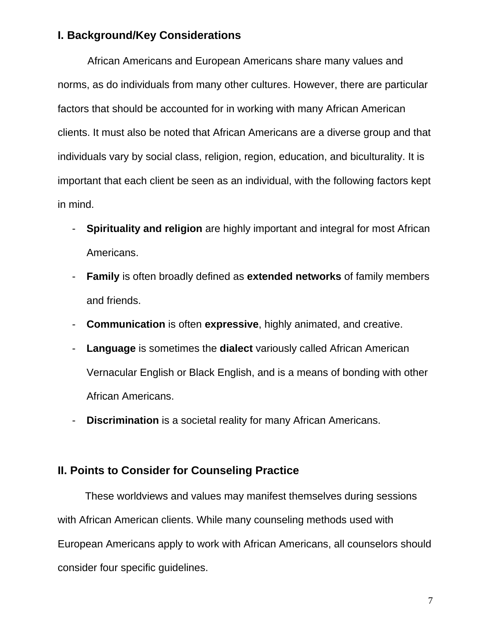# **I. Background/Key Considerations**

African Americans and European Americans share many values and norms, as do individuals from many other cultures. However, there are particular factors that should be accounted for in working with many African American clients. It must also be noted that African Americans are a diverse group and that individuals vary by social class, religion, region, education, and biculturality. It is important that each client be seen as an individual, with the following factors kept in mind.

- **Spirituality and religion** are highly important and integral for most African Americans.
- **Family** is often broadly defined as **extended networks** of family members and friends.
- **Communication** is often **expressive**, highly animated, and creative.
- **Language** is sometimes the **dialect** variously called African American Vernacular English or Black English, and is a means of bonding with other African Americans.
- **Discrimination** is a societal reality for many African Americans.

# **II. Points to Consider for Counseling Practice**

These worldviews and values may manifest themselves during sessions with African American clients. While many counseling methods used with European Americans apply to work with African Americans, all counselors should consider four specific guidelines.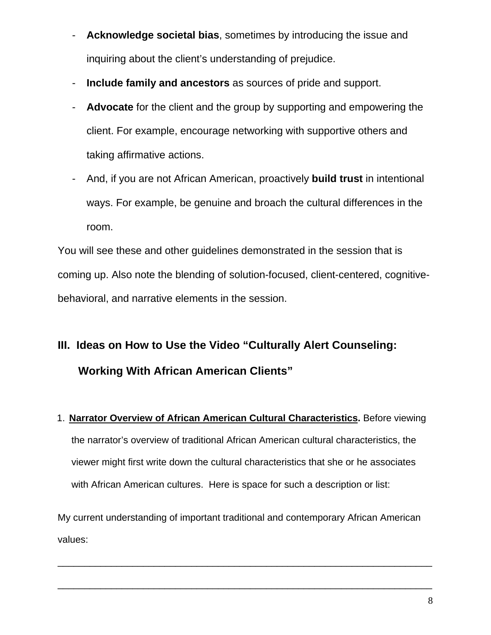- Acknowledge societal bias, sometimes by introducing the issue and inquiring about the client's understanding of prejudice.
- **Include family and ancestors** as sources of pride and support.
- **Advocate** for the client and the group by supporting and empowering the client. For example, encourage networking with supportive others and taking affirmative actions.
- And, if you are not African American, proactively **build trust** in intentional ways. For example, be genuine and broach the cultural differences in the room.

You will see these and other guidelines demonstrated in the session that is coming up. Also note the blending of solution-focused, client-centered, cognitivebehavioral, and narrative elements in the session.

# **III. Ideas on How to Use the Video "Culturally Alert Counseling: Working With African American Clients"**

1. **Narrator Overview of African American Cultural Characteristics.** Before viewing the narrator's overview of traditional African American cultural characteristics, the viewer might first write down the cultural characteristics that she or he associates with African American cultures. Here is space for such a description or list:

My current understanding of important traditional and contemporary African American values:

\_\_\_\_\_\_\_\_\_\_\_\_\_\_\_\_\_\_\_\_\_\_\_\_\_\_\_\_\_\_\_\_\_\_\_\_\_\_\_\_\_\_\_\_\_\_\_\_\_\_\_\_\_\_\_\_\_\_\_\_\_\_\_\_\_\_\_\_\_\_

\_\_\_\_\_\_\_\_\_\_\_\_\_\_\_\_\_\_\_\_\_\_\_\_\_\_\_\_\_\_\_\_\_\_\_\_\_\_\_\_\_\_\_\_\_\_\_\_\_\_\_\_\_\_\_\_\_\_\_\_\_\_\_\_\_\_\_\_\_\_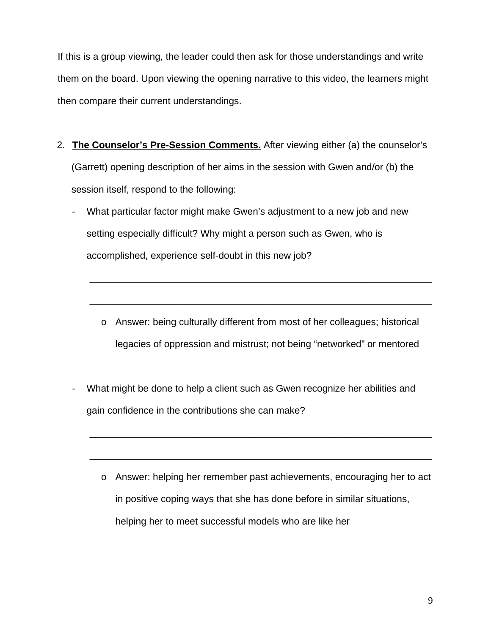If this is a group viewing, the leader could then ask for those understandings and write them on the board. Upon viewing the opening narrative to this video, the learners might then compare their current understandings.

- 2. **The Counselor's Pre-Session Comments.** After viewing either (a) the counselor's (Garrett) opening description of her aims in the session with Gwen and/or (b) the session itself, respond to the following:
	- What particular factor might make Gwen's adjustment to a new job and new setting especially difficult? Why might a person such as Gwen, who is accomplished, experience self-doubt in this new job?
		- o Answer: being culturally different from most of her colleagues; historical legacies of oppression and mistrust; not being "networked" or mentored

\_\_\_\_\_\_\_\_\_\_\_\_\_\_\_\_\_\_\_\_\_\_\_\_\_\_\_\_\_\_\_\_\_\_\_\_\_\_\_\_\_\_\_\_\_\_\_\_\_\_\_\_\_\_\_\_\_\_\_\_\_\_\_\_

\_\_\_\_\_\_\_\_\_\_\_\_\_\_\_\_\_\_\_\_\_\_\_\_\_\_\_\_\_\_\_\_\_\_\_\_\_\_\_\_\_\_\_\_\_\_\_\_\_\_\_\_\_\_\_\_\_\_\_\_\_\_\_\_

- What might be done to help a client such as Gwen recognize her abilities and gain confidence in the contributions she can make?
	- o Answer: helping her remember past achievements, encouraging her to act in positive coping ways that she has done before in similar situations, helping her to meet successful models who are like her

\_\_\_\_\_\_\_\_\_\_\_\_\_\_\_\_\_\_\_\_\_\_\_\_\_\_\_\_\_\_\_\_\_\_\_\_\_\_\_\_\_\_\_\_\_\_\_\_\_\_\_\_\_\_\_\_\_\_\_\_\_\_\_\_

\_\_\_\_\_\_\_\_\_\_\_\_\_\_\_\_\_\_\_\_\_\_\_\_\_\_\_\_\_\_\_\_\_\_\_\_\_\_\_\_\_\_\_\_\_\_\_\_\_\_\_\_\_\_\_\_\_\_\_\_\_\_\_\_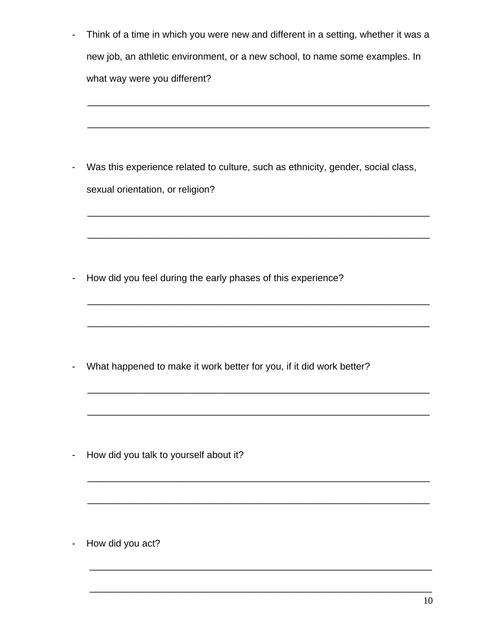- Think of a time in which you were new and different in a setting, whether it was a new job, an athletic environment, or a new school, to name some examples. In what way were you different?

\_\_\_\_\_\_\_\_\_\_\_\_\_\_\_\_\_\_\_\_\_\_\_\_\_\_\_\_\_\_\_\_\_\_\_\_\_\_\_\_\_\_\_\_\_\_\_\_\_\_\_\_\_\_\_\_\_\_\_\_\_\_\_\_

\_\_\_\_\_\_\_\_\_\_\_\_\_\_\_\_\_\_\_\_\_\_\_\_\_\_\_\_\_\_\_\_\_\_\_\_\_\_\_\_\_\_\_\_\_\_\_\_\_\_\_\_\_\_\_\_\_\_\_\_\_\_\_\_

\_\_\_\_\_\_\_\_\_\_\_\_\_\_\_\_\_\_\_\_\_\_\_\_\_\_\_\_\_\_\_\_\_\_\_\_\_\_\_\_\_\_\_\_\_\_\_\_\_\_\_\_\_\_\_\_\_\_\_\_\_\_\_\_

\_\_\_\_\_\_\_\_\_\_\_\_\_\_\_\_\_\_\_\_\_\_\_\_\_\_\_\_\_\_\_\_\_\_\_\_\_\_\_\_\_\_\_\_\_\_\_\_\_\_\_\_\_\_\_\_\_\_\_\_\_\_\_\_

\_\_\_\_\_\_\_\_\_\_\_\_\_\_\_\_\_\_\_\_\_\_\_\_\_\_\_\_\_\_\_\_\_\_\_\_\_\_\_\_\_\_\_\_\_\_\_\_\_\_\_\_\_\_\_\_\_\_\_\_\_\_\_\_

\_\_\_\_\_\_\_\_\_\_\_\_\_\_\_\_\_\_\_\_\_\_\_\_\_\_\_\_\_\_\_\_\_\_\_\_\_\_\_\_\_\_\_\_\_\_\_\_\_\_\_\_\_\_\_\_\_\_\_\_\_\_\_\_

\_\_\_\_\_\_\_\_\_\_\_\_\_\_\_\_\_\_\_\_\_\_\_\_\_\_\_\_\_\_\_\_\_\_\_\_\_\_\_\_\_\_\_\_\_\_\_\_\_\_\_\_\_\_\_\_\_\_\_\_\_\_\_\_

\_\_\_\_\_\_\_\_\_\_\_\_\_\_\_\_\_\_\_\_\_\_\_\_\_\_\_\_\_\_\_\_\_\_\_\_\_\_\_\_\_\_\_\_\_\_\_\_\_\_\_\_\_\_\_\_\_\_\_\_\_\_\_\_

\_\_\_\_\_\_\_\_\_\_\_\_\_\_\_\_\_\_\_\_\_\_\_\_\_\_\_\_\_\_\_\_\_\_\_\_\_\_\_\_\_\_\_\_\_\_\_\_\_\_\_\_\_\_\_\_\_\_\_\_\_\_\_\_

\_\_\_\_\_\_\_\_\_\_\_\_\_\_\_\_\_\_\_\_\_\_\_\_\_\_\_\_\_\_\_\_\_\_\_\_\_\_\_\_\_\_\_\_\_\_\_\_\_\_\_\_\_\_\_\_\_\_\_\_\_\_\_\_

\_\_\_\_\_\_\_\_\_\_\_\_\_\_\_\_\_\_\_\_\_\_\_\_\_\_\_\_\_\_\_\_\_\_\_\_\_\_\_\_\_\_\_\_\_\_\_\_\_\_\_\_\_\_\_\_\_\_\_\_\_\_\_\_

\_\_\_\_\_\_\_\_\_\_\_\_\_\_\_\_\_\_\_\_\_\_\_\_\_\_\_\_\_\_\_\_\_\_\_\_\_\_\_\_\_\_\_\_\_\_\_\_\_\_\_\_\_\_\_\_\_\_\_\_\_\_\_\_

- Was this experience related to culture, such as ethnicity, gender, social class, sexual orientation, or religion?

- How did you feel during the early phases of this experience?

- What happened to make it work better for you, if it did work better?

- How did you talk to yourself about it?

- How did you act?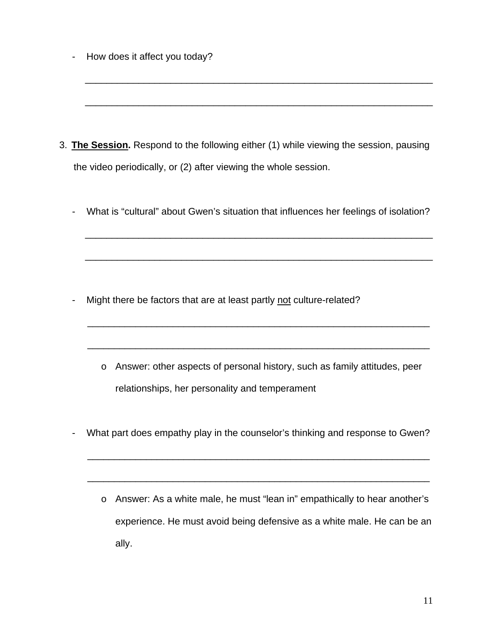- How does it affect you today?

3. **The Session.** Respond to the following either (1) while viewing the session, pausing the video periodically, or (2) after viewing the whole session.

\_\_\_\_\_\_\_\_\_\_\_\_\_\_\_\_\_\_\_\_\_\_\_\_\_\_\_\_\_\_\_\_\_\_\_\_\_\_\_\_\_\_\_\_\_\_\_\_\_\_\_\_\_\_\_\_\_\_\_\_\_\_\_\_\_

\_\_\_\_\_\_\_\_\_\_\_\_\_\_\_\_\_\_\_\_\_\_\_\_\_\_\_\_\_\_\_\_\_\_\_\_\_\_\_\_\_\_\_\_\_\_\_\_\_\_\_\_\_\_\_\_\_\_\_\_\_\_\_\_\_

- What is "cultural" about Gwen's situation that influences her feelings of isolation?

\_\_\_\_\_\_\_\_\_\_\_\_\_\_\_\_\_\_\_\_\_\_\_\_\_\_\_\_\_\_\_\_\_\_\_\_\_\_\_\_\_\_\_\_\_\_\_\_\_\_\_\_\_\_\_\_\_\_\_\_\_\_\_\_\_

\_\_\_\_\_\_\_\_\_\_\_\_\_\_\_\_\_\_\_\_\_\_\_\_\_\_\_\_\_\_\_\_\_\_\_\_\_\_\_\_\_\_\_\_\_\_\_\_\_\_\_\_\_\_\_\_\_\_\_\_\_\_\_\_\_

- Might there be factors that are at least partly not culture-related?
	- o Answer: other aspects of personal history, such as family attitudes, peer relationships, her personality and temperament

\_\_\_\_\_\_\_\_\_\_\_\_\_\_\_\_\_\_\_\_\_\_\_\_\_\_\_\_\_\_\_\_\_\_\_\_\_\_\_\_\_\_\_\_\_\_\_\_\_\_\_\_\_\_\_\_\_\_\_\_\_\_\_\_

\_\_\_\_\_\_\_\_\_\_\_\_\_\_\_\_\_\_\_\_\_\_\_\_\_\_\_\_\_\_\_\_\_\_\_\_\_\_\_\_\_\_\_\_\_\_\_\_\_\_\_\_\_\_\_\_\_\_\_\_\_\_\_\_

- What part does empathy play in the counselor's thinking and response to Gwen?

\_\_\_\_\_\_\_\_\_\_\_\_\_\_\_\_\_\_\_\_\_\_\_\_\_\_\_\_\_\_\_\_\_\_\_\_\_\_\_\_\_\_\_\_\_\_\_\_\_\_\_\_\_\_\_\_\_\_\_\_\_\_\_\_

o Answer: As a white male, he must "lean in" empathically to hear another's experience. He must avoid being defensive as a white male. He can be an ally.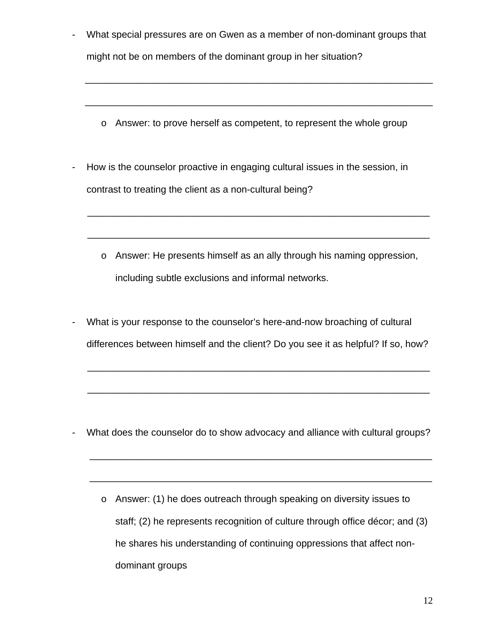- What special pressures are on Gwen as a member of non-dominant groups that might not be on members of the dominant group in her situation?
	- $\circ$  Answer: to prove herself as competent, to represent the whole group

\_\_\_\_\_\_\_\_\_\_\_\_\_\_\_\_\_\_\_\_\_\_\_\_\_\_\_\_\_\_\_\_\_\_\_\_\_\_\_\_\_\_\_\_\_\_\_\_\_\_\_\_\_\_\_\_\_\_\_\_\_\_\_\_\_

 $\mathcal{L}_\mathcal{L} = \mathcal{L}_\mathcal{L} = \mathcal{L}_\mathcal{L} = \mathcal{L}_\mathcal{L} = \mathcal{L}_\mathcal{L} = \mathcal{L}_\mathcal{L} = \mathcal{L}_\mathcal{L} = \mathcal{L}_\mathcal{L} = \mathcal{L}_\mathcal{L} = \mathcal{L}_\mathcal{L} = \mathcal{L}_\mathcal{L} = \mathcal{L}_\mathcal{L} = \mathcal{L}_\mathcal{L} = \mathcal{L}_\mathcal{L} = \mathcal{L}_\mathcal{L} = \mathcal{L}_\mathcal{L} = \mathcal{L}_\mathcal{L}$ 

- How is the counselor proactive in engaging cultural issues in the session, in contrast to treating the client as a non-cultural being?
	- o Answer: He presents himself as an ally through his naming oppression, including subtle exclusions and informal networks.

\_\_\_\_\_\_\_\_\_\_\_\_\_\_\_\_\_\_\_\_\_\_\_\_\_\_\_\_\_\_\_\_\_\_\_\_\_\_\_\_\_\_\_\_\_\_\_\_\_\_\_\_\_\_\_\_\_\_\_\_\_\_\_\_

\_\_\_\_\_\_\_\_\_\_\_\_\_\_\_\_\_\_\_\_\_\_\_\_\_\_\_\_\_\_\_\_\_\_\_\_\_\_\_\_\_\_\_\_\_\_\_\_\_\_\_\_\_\_\_\_\_\_\_\_\_\_\_\_

- What is your response to the counselor's here-and-now broaching of cultural differences between himself and the client? Do you see it as helpful? If so, how?

\_\_\_\_\_\_\_\_\_\_\_\_\_\_\_\_\_\_\_\_\_\_\_\_\_\_\_\_\_\_\_\_\_\_\_\_\_\_\_\_\_\_\_\_\_\_\_\_\_\_\_\_\_\_\_\_\_\_\_\_\_\_\_\_

\_\_\_\_\_\_\_\_\_\_\_\_\_\_\_\_\_\_\_\_\_\_\_\_\_\_\_\_\_\_\_\_\_\_\_\_\_\_\_\_\_\_\_\_\_\_\_\_\_\_\_\_\_\_\_\_\_\_\_\_\_\_\_\_

- What does the counselor do to show advocacy and alliance with cultural groups?

\_\_\_\_\_\_\_\_\_\_\_\_\_\_\_\_\_\_\_\_\_\_\_\_\_\_\_\_\_\_\_\_\_\_\_\_\_\_\_\_\_\_\_\_\_\_\_\_\_\_\_\_\_\_\_\_\_\_\_\_\_\_\_\_

\_\_\_\_\_\_\_\_\_\_\_\_\_\_\_\_\_\_\_\_\_\_\_\_\_\_\_\_\_\_\_\_\_\_\_\_\_\_\_\_\_\_\_\_\_\_\_\_\_\_\_\_\_\_\_\_\_\_\_\_\_\_\_\_

o Answer: (1) he does outreach through speaking on diversity issues to staff; (2) he represents recognition of culture through office décor; and (3) he shares his understanding of continuing oppressions that affect nondominant groups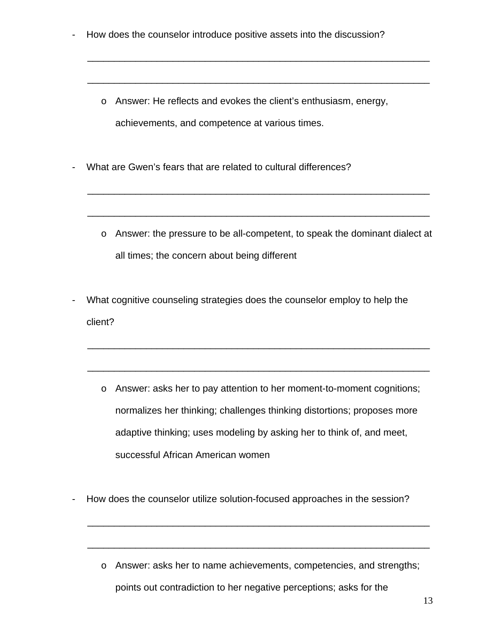How does the counselor introduce positive assets into the discussion?

o Answer: He reflects and evokes the client's enthusiasm, energy, achievements, and competence at various times.

\_\_\_\_\_\_\_\_\_\_\_\_\_\_\_\_\_\_\_\_\_\_\_\_\_\_\_\_\_\_\_\_\_\_\_\_\_\_\_\_\_\_\_\_\_\_\_\_\_\_\_\_\_\_\_\_\_\_\_\_\_\_\_\_

\_\_\_\_\_\_\_\_\_\_\_\_\_\_\_\_\_\_\_\_\_\_\_\_\_\_\_\_\_\_\_\_\_\_\_\_\_\_\_\_\_\_\_\_\_\_\_\_\_\_\_\_\_\_\_\_\_\_\_\_\_\_\_\_

- What are Gwen's fears that are related to cultural differences?
	- o Answer: the pressure to be all-competent, to speak the dominant dialect at all times; the concern about being different

\_\_\_\_\_\_\_\_\_\_\_\_\_\_\_\_\_\_\_\_\_\_\_\_\_\_\_\_\_\_\_\_\_\_\_\_\_\_\_\_\_\_\_\_\_\_\_\_\_\_\_\_\_\_\_\_\_\_\_\_\_\_\_\_

\_\_\_\_\_\_\_\_\_\_\_\_\_\_\_\_\_\_\_\_\_\_\_\_\_\_\_\_\_\_\_\_\_\_\_\_\_\_\_\_\_\_\_\_\_\_\_\_\_\_\_\_\_\_\_\_\_\_\_\_\_\_\_\_

- What cognitive counseling strategies does the counselor employ to help the client?
	- o Answer: asks her to pay attention to her moment-to-moment cognitions; normalizes her thinking; challenges thinking distortions; proposes more adaptive thinking; uses modeling by asking her to think of, and meet, successful African American women

\_\_\_\_\_\_\_\_\_\_\_\_\_\_\_\_\_\_\_\_\_\_\_\_\_\_\_\_\_\_\_\_\_\_\_\_\_\_\_\_\_\_\_\_\_\_\_\_\_\_\_\_\_\_\_\_\_\_\_\_\_\_\_\_

\_\_\_\_\_\_\_\_\_\_\_\_\_\_\_\_\_\_\_\_\_\_\_\_\_\_\_\_\_\_\_\_\_\_\_\_\_\_\_\_\_\_\_\_\_\_\_\_\_\_\_\_\_\_\_\_\_\_\_\_\_\_\_\_

- How does the counselor utilize solution-focused approaches in the session?
	- o Answer: asks her to name achievements, competencies, and strengths;

\_\_\_\_\_\_\_\_\_\_\_\_\_\_\_\_\_\_\_\_\_\_\_\_\_\_\_\_\_\_\_\_\_\_\_\_\_\_\_\_\_\_\_\_\_\_\_\_\_\_\_\_\_\_\_\_\_\_\_\_\_\_\_\_

points out contradiction to her negative perceptions; asks for the